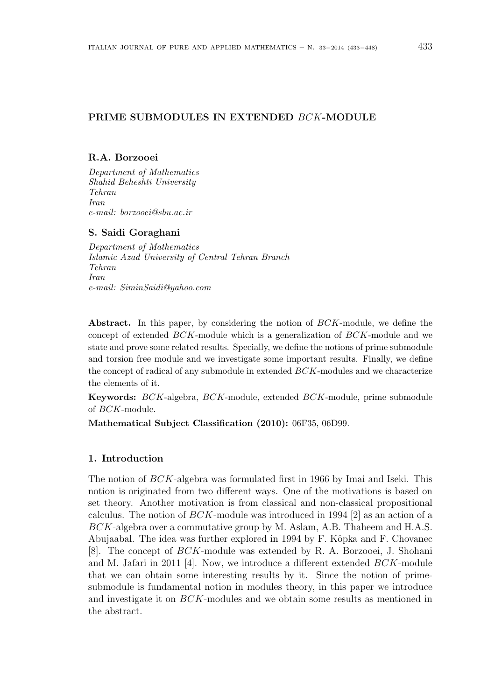## PRIME SUBMODULES IN EXTENDED BCK-MODULE

### R.A. Borzooei

Department of Mathematics Shahid Beheshti University Tehran Iran e-mail: borzooei@sbu.ac.ir

#### S. Saidi Goraghani

Department of Mathematics Islamic Azad University of Central Tehran Branch Tehran Iran e-mail: SiminSaidi@yahoo.com

Abstract. In this paper, by considering the notion of BCK-module, we define the concept of extended BCK-module which is a generalization of BCK-module and we state and prove some related results. Specially, we define the notions of prime submodule and torsion free module and we investigate some important results. Finally, we define the concept of radical of any submodule in extended BCK-modules and we characterize the elements of it.

Keywords: BCK-algebra, BCK-module, extended BCK-module, prime submodule of BCK-module.

Mathematical Subject Classification (2010): 06F35, 06D99.

## 1. Introduction

The notion of BCK-algebra was formulated first in 1966 by Imai and Iseki. This notion is originated from two different ways. One of the motivations is based on set theory. Another motivation is from classical and non-classical propositional calculus. The notion of  $BCK$ -module was introduced in 1994 [2] as an action of a BCK-algebra over a commutative group by M. Aslam, A.B. Thaheem and H.A.S. Abujaabal. The idea was further explored in 1994 by F. Kôpka and F. Chovanec [8]. The concept of BCK-module was extended by R. A. Borzooei, J. Shohani and M. Jafari in 2011 [4]. Now, we introduce a different extended BCK-module that we can obtain some interesting results by it. Since the notion of primesubmodule is fundamental notion in modules theory, in this paper we introduce and investigate it on BCK-modules and we obtain some results as mentioned in the abstract.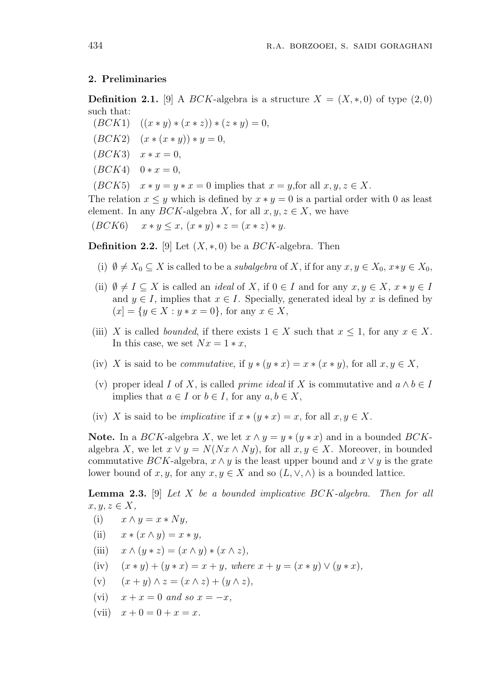## 2. Preliminaries

**Definition 2.1.** [9] A BCK-algebra is a structure  $X = (X, *, 0)$  of type  $(2, 0)$ such that:

- $(BCK1)$   $((x * y) * (x * z)) * (z * y) = 0,$
- $(BCK2)$   $(x * (x * y)) * y = 0,$
- $(BCK3)$   $x * x = 0$ ,
- $(BCK4) \quad 0 * x = 0,$

 $(BCK5)$   $x * y = y * x = 0$  implies that  $x = y$ , for all  $x, y, z \in X$ .

The relation  $x \leq y$  which is defined by  $x * y = 0$  is a partial order with 0 as least element. In any  $BCK$ -algebra X, for all  $x, y, z \in X$ , we have

 $(BCK6)$   $x * y \leq x$ ,  $(x * y) * z = (x * z) * y$ .

**Definition 2.2.** [9] Let  $(X, *, 0)$  be a *BCK*-algebra. Then

- (i)  $\emptyset \neq X_0 \subseteq X$  is called to be a *subalgebra* of X, if for any  $x, y \in X_0$ ,  $x \ast y \in X_0$ ,
- (ii)  $\emptyset \neq I \subseteq X$  is called an *ideal* of X, if  $0 \in I$  and for any  $x, y \in X$ ,  $x * y \in I$ and  $y \in I$ , implies that  $x \in I$ . Specially, generated ideal by x is defined by  $(x = \{y \in X : y * x = 0\},\$ for any  $x \in X$ ,
- (iii) X is called *bounded*, if there exists  $1 \in X$  such that  $x \leq 1$ , for any  $x \in X$ . In this case, we set  $Nx=1*x$ ,
- (iv) X is said to be *commutative*, if  $y * (y * x) = x * (x * y)$ , for all  $x, y \in X$ ,
- (v) proper ideal I of X, is called *prime ideal* if X is commutative and  $a \wedge b \in I$ implies that  $a \in I$  or  $b \in I$ , for any  $a, b \in X$ ,
- (iv) X is said to be *implicative* if  $x * (y * x) = x$ , for all  $x, y \in X$ .

Note. In a BCK-algebra X, we let  $x \wedge y = y * (y * x)$  and in a bounded BCKalgebra X, we let  $x \vee y = N(Nx \wedge Ny)$ , for all  $x, y \in X$ . Moreover, in bounded commutative BCK-algebra,  $x \wedge y$  is the least upper bound and  $x \vee y$  is the grate lower bound of x, y, for any  $x, y \in X$  and so  $(L, \vee, \wedge)$  is a bounded lattice.

**Lemma 2.3.** [9] Let X be a bounded implicative  $BCK$ -algebra. Then for all  $x, y, z \in X$ ,

- (i)  $x \wedge y = x * Ny,$
- (ii)  $x * (x \wedge y) = x * y$ ,
- (iii)  $x \wedge (y * z) = (x \wedge y) * (x \wedge z),$
- (iv)  $(x * y) + (y * x) = x + y$ , where  $x + y = (x * y) \vee (y * x)$ ,
- (v)  $(x + y) \wedge z = (x \wedge z) + (y \wedge z),$
- (vi)  $x + x = 0$  and so  $x = -x$ ,
- (vii)  $x + 0 = 0 + x = x$ .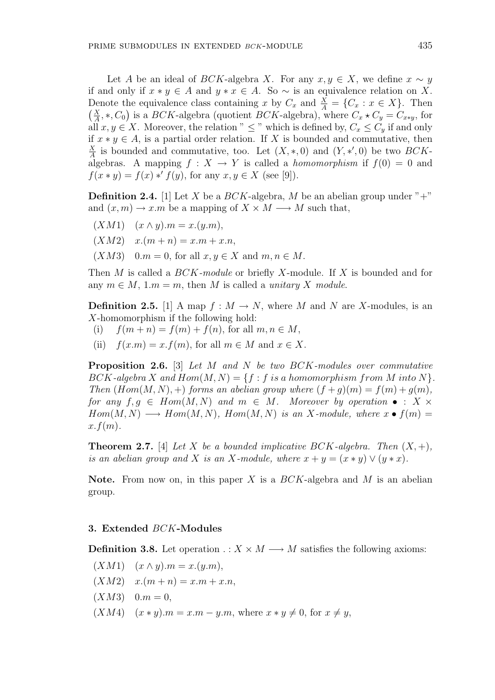Let A be an ideal of BCK-algebra X. For any  $x, y \in X$ , we define  $x \sim y$ if and only if  $x * y \in A$  and  $y * x \in A$ . So  $\sim$  is an equivalence relation on X. Denote the equivalence class containing x by  $C_x$  and  $\frac{X}{A} = \{C_x : x \in X\}$ . Then  $(X, *C_x)$  is a  $BCK$  algebra (quotient  $BCK$  algebra) where  $C + C = C$  for  $\frac{X}{A}$ , \*,  $C_0$ ) is a BCK-algebra (quotient BCK-algebra), where  $C_x \star C_y = C_{x*y}$ , for all  $x, y \in X$ . Moreover, the relation "  $\leq$  " which is defined by,  $C_x \leq C_y$  if and only if  $x * y \in A$ , is a partial order relation. If X is bounded and commutative, then  $\frac{X}{A}$  is bounded and commutative, too. Let  $(X, *, 0)$  and  $(Y, *, 0)$  be two  $BCK$ algebras. A mapping  $f: X \to Y$  is called a *homomorphism* if  $f(0) = 0$  and

**Definition 2.4.** [1] Let X be a  $BCK$ -algebra, M be an abelian group under "+" and  $(x, m) \to x \cdot m$  be a mapping of  $X \times M \longrightarrow M$  such that,

 $(XM1)$   $(x \wedge y).m = x.(y.m),$ 

X

- $(XM2) \quad x.(m+n) = x.m + x.n,$
- $(XM3)$  0.m = 0, for all  $x, y \in X$  and  $m, n \in M$ .

 $f(x * y) = f(x) * f(y)$ , for any  $x, y \in X$  (see [9]).

Then M is called a  $BCK$ -module or briefly X-module. If X is bounded and for any  $m \in M$ , 1. $m = m$ , then M is called a *unitary X module*.

**Definition 2.5.** [1] A map  $f : M \to N$ , where M and N are X-modules, is an X-homomorphism if the following hold:

- (i)  $f(m + n) = f(m) + f(n)$ , for all  $m, n \in M$ ,
- (ii)  $f(x,m) = x$ ,  $f(m)$ , for all  $m \in M$  and  $x \in X$ .

**Proposition 2.6.** [3] Let M and N be two BCK-modules over commutative  $BCK$ -algebra X and  $Hom(M, N) = \{f : f \text{ is a homomorphism from } M \text{ into } N\}.$ Then  $(Hom(M, N), +)$  forms an abelian group where  $(f + q)(m) = f(m) + q(m)$ , for any  $f, g \in Hom(M, N)$  and  $m \in M$ . Moreover by operation  $\bullet : X \times$  $Hom(M, N) \longrightarrow Hom(M, N)$ ,  $Hom(M, N)$  is an X-module, where  $x \bullet f(m) =$  $x.f(m).$ 

**Theorem 2.7.** [4] Let X be a bounded implicative BCK-algebra. Then  $(X, +)$ , is an abelian group and X is an X-module, where  $x + y = (x * y) \vee (y * x)$ .

**Note.** From now on, in this paper X is a  $BCK$ -algebra and M is an abelian group.

### 3. Extended BCK-Modules

**Definition 3.8.** Let operation  $X \times M \longrightarrow M$  satisfies the following axioms:

- $(XM1)$   $(x \wedge y).m = x.(y.m),$
- $(XM2) \quad x.(m+n) = x.m + x.n,$
- $(XM3)$  0. $m = 0$ ,
- $(XM4)$   $(x * y).m = x.m y.m$ , where  $x * y \neq 0$ , for  $x \neq y$ ,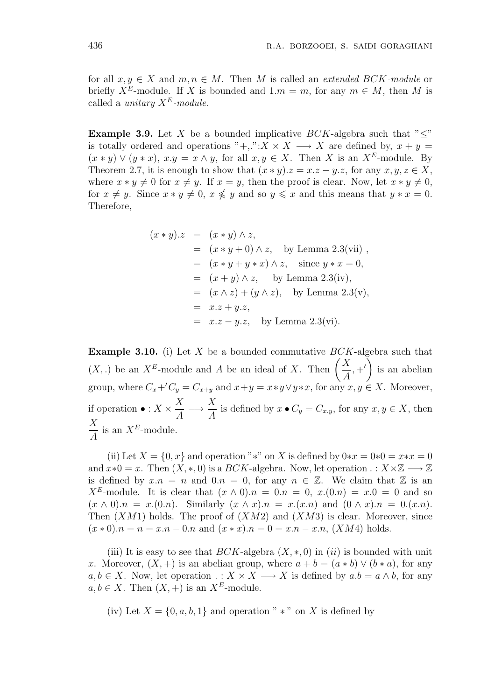for all  $x, y \in X$  and  $m, n \in M$ . Then M is called an *extended BCK-module* or briefly  $X^E$ -module. If X is bounded and  $1.m = m$ , for any  $m \in M$ , then M is called a *unitary*  $X^E$ -module.

**Example 3.9.** Let X be a bounded implicative  $BCK$ -algebra such that " $\lt$ " is totally ordered and operations "+,.": $X \times X \longrightarrow X$  are defined by,  $x + y =$  $(x * y) \vee (y * x), x.y = x \wedge y$ , for all  $x, y \in X$ . Then X is an X<sup>E</sup>-module. By Theorem 2.7, it is enough to show that  $(x * y) \cdot z = x \cdot z - y \cdot z$ , for any  $x, y, z \in X$ , where  $x * y \neq 0$  for  $x \neq y$ . If  $x = y$ , then the proof is clear. Now, let  $x * y \neq 0$ , for  $x \neq y$ . Since  $x * y \neq 0$ ,  $x \nleq y$  and so  $y \leq x$  and this means that  $y * x = 0$ . Therefore,

$$
(x * y).z = (x * y) \land z,
$$
  
\n
$$
= (x * y + 0) \land z, \text{ by Lemma 2.3(vii)},
$$
  
\n
$$
= (x * y + y * x) \land z, \text{ since } y * x = 0,
$$
  
\n
$$
= (x + y) \land z, \text{ by Lemma 2.3(iv)},
$$
  
\n
$$
= (x \land z) + (y \land z), \text{ by Lemma 2.3(v)},
$$
  
\n
$$
= x.z + y.z,
$$
  
\n
$$
= x.z - y.z, \text{ by Lemma 2.3(vi)}.
$$

**Example 3.10.** (i) Let X be a bounded commutative  $BCK$ -algebra such that **Example 3.10.** (1) Let X be a bounded commutative BC<br>(X, .) be an  $X^E$ -module and A be an ideal of X. Then  $\boldsymbol{X}$ A  $,+^{\prime}$  is an abelian group, where  $C_x+C_y = C_{x+y}$  and  $x+y = x*y\vee y*x$ , for any  $x, y \in X$ . Moreover, if operation  $\bullet : X \times$  $\boldsymbol{X}$ A −→  $\boldsymbol{X}$  $\frac{d}{A}$  is defined by  $x \bullet C_y = C_{x,y}$ , for any  $x, y \in X$ , then  $\boldsymbol{X}$ A is an  $X^E$ -module.

(ii) Let  $X = \{0, x\}$  and operation "\*" on X is defined by  $0*x = 0*0 = x*x = 0$ and  $x*0 = x$ . Then  $(X,*,0)$  is a  $BCK$ -algebra. Now, let operation  $\therefore X \times \mathbb{Z} \longrightarrow \mathbb{Z}$ is defined by  $x.n = n$  and  $0.n = 0$ , for any  $n \in \mathbb{Z}$ . We claim that  $\mathbb Z$  is an  $X^{E}$ -module. It is clear that  $(x \wedge 0)n = 0 \wedge n = 0$ ,  $x(0)n = x.0 = 0$  and so  $(x \wedge 0).n = x.(0.n)$ . Similarly  $(x \wedge x).n = x.(x.n)$  and  $(0 \wedge x).n = 0.(x.n)$ . Then  $(XM1)$  holds. The proof of  $(XM2)$  and  $(XM3)$  is clear. Moreover, since  $(x * 0)n = n = x.n - 0.n$  and  $(x * x)n = 0 = x.n - x.n$ ,  $(XM4)$  holds.

(iii) It is easy to see that  $BCK$ -algebra  $(X, *, 0)$  in  $(ii)$  is bounded with unit x. Moreover,  $(X,+)$  is an abelian group, where  $a + b = (a * b) \vee (b * a)$ , for any  $a, b \in X$ . Now, let operation  $\ldots X \times X \longrightarrow X$  is defined by  $a.b = a \wedge b$ , for any  $a, b \in X$ . Then  $(X, +)$  is an  $X^E$ -module.

(iv) Let  $X = \{0, a, b, 1\}$  and operation " \* " on X is defined by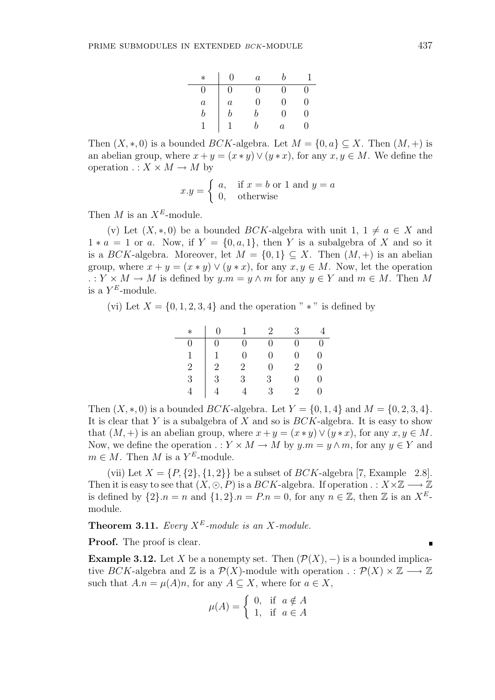| $\ast$       | ∩       | $\boldsymbol{a}$ |                   |                  |
|--------------|---------|------------------|-------------------|------------------|
| $\mathbf{0}$ | 9       | $\mathcal{O}$    | 0                 | 0                |
| $\it a$      | $\it a$ | $\mathcal{O}$    | $\mathbf{\Omega}$ | $\left( \right)$ |
| h            | ŋ       | h                | $\mathbf{0}$      | $\left( \right)$ |
| H            |         | h                | $\boldsymbol{a}$  | $\mathbf{0}$     |

Then  $(X, \ast, 0)$  is a bounded BCK-algebra. Let  $M = \{0, a\} \subseteq X$ . Then  $(M, +)$  is an abelian group, where  $x + y = (x * y) \vee (y * x)$ , for any  $x, y \in M$ . We define the operation  $\ldots X \times M \to M$  by

$$
x.y = \begin{cases} a, & \text{if } x = b \text{ or } 1 \text{ and } y = a \\ 0, & \text{otherwise} \end{cases}
$$

Then M is an  $X^E$ -module.

(v) Let  $(X, * , 0)$  be a bounded BCK-algebra with unit  $1, 1 \neq a \in X$  and  $1 * a = 1$  or a. Now, if  $Y = \{0, a, 1\}$ , then Y is a subalgebra of X and so it is a BCK-algebra. Moreover, let  $M = \{0, 1\} \subseteq X$ . Then  $(M, +)$  is an abelian group, where  $x + y = (x * y) \vee (y * x)$ , for any  $x, y \in M$ . Now, let the operation  $: Y \times M \to M$  is defined by  $y.m = y \wedge m$  for any  $y \in Y$  and  $m \in M$ . Then M is a  $Y^E$ -module.

(vi) Let  $X = \{0, 1, 2, 3, 4\}$  and the operation " \*" is defined by

| $\ast$        | $\left( \right)$ |                  | $2^{\circ}$  | $\mathcal{S}_{\mathcal{C}}$ |   |
|---------------|------------------|------------------|--------------|-----------------------------|---|
| 0             | 0                | $\left( \right)$ | $\mathbf{0}$ | $\left( \right)$            |   |
| 1             | $\mathbf{1}$     | 0                | $\Omega$     | 0                           | U |
| $\frac{2}{3}$ | $\frac{1}{2}$    | $\overline{2}$   | $\mathbf{O}$ | $\overline{2}$              |   |
|               |                  | 3                | 3            | $\mathbf{0}$                |   |
|               |                  |                  | 3            | $\mathcal{D}_{\mathcal{L}}$ |   |

Then  $(X,*,0)$  is a bounded *BCK*-algebra. Let  $Y = \{0,1,4\}$  and  $M = \{0,2,3,4\}$ . It is clear that Y is a subalgebra of X and so is  $BCK$ -algebra. It is easy to show that  $(M, +)$  is an abelian group, where  $x + y = (x * y) \vee (y * x)$ , for any  $x, y \in M$ . Now, we define the operation  $\ldots Y \times M \to M$  by  $y.m = y \wedge m$ , for any  $y \in Y$  and  $m \in M$ . Then M is a  $Y^E$ -module.

(vii) Let  $X = \{P, \{2\}, \{1, 2\}\}\$ be a subset of  $BCK$ -algebra [7, Example 2.8]. Then it is easy to see that  $(X, \odot, P)$  is a  $BCK$ -algebra. If operation  $\ldots X \times \mathbb{Z} \longrightarrow \mathbb{Z}$ is defined by  $\{2\} \cdot n = n$  and  $\{1, 2\} \cdot n = P \cdot n = 0$ , for any  $n \in \mathbb{Z}$ , then  $\mathbb Z$  is an  $X^E$ module.

**Theorem 3.11.** Every  $X^E$ -module is an X-module.

Proof. The proof is clear.

**Example 3.12.** Let X be a nonempty set. Then  $(\mathcal{P}(X), -)$  is a bounded implicative BCK-algebra and  $\mathbb Z$  is a  $\mathcal P(X)$ -module with operation  $\cdot : \mathcal P(X) \times \mathbb Z \longrightarrow \mathbb Z$ such that  $A.n = \mu(A)n$ , for any  $A \subseteq X$ , where for  $a \in X$ ,

$$
\mu(A) = \begin{cases} 0, & \text{if } a \notin A \\ 1, & \text{if } a \in A \end{cases}
$$

 $\blacksquare$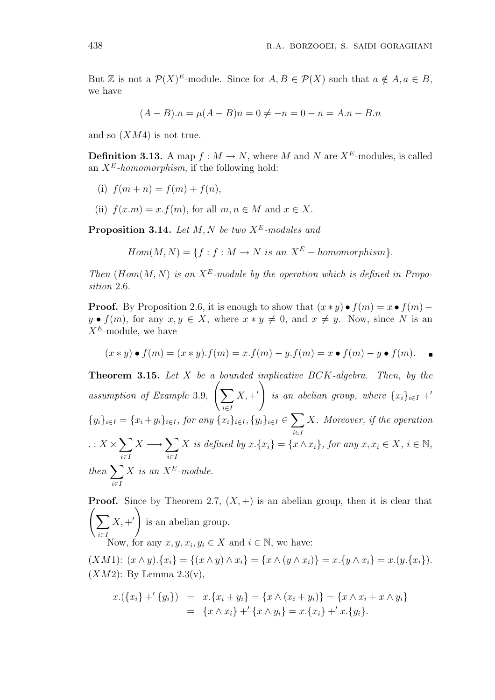But Z is not a  $\mathcal{P}(X)^E$ -module. Since for  $A, B \in \mathcal{P}(X)$  such that  $a \notin A, a \in B$ , we have

$$
(A - B).n = \mu(A - B)n = 0 \neq -n = 0 - n = A.n - B.n
$$

and so  $(XM4)$  is not true.

**Definition 3.13.** A map  $f : M \to N$ , where M and N are  $X^E$ -modules, is called an  $X^E$ -homomorphism, if the following hold:

- (i)  $f(m+n) = f(m) + f(n)$ ,
- (ii)  $f(x.m) = x.f(m)$ , for all  $m, n \in M$  and  $x \in X$ .

**Proposition 3.14.** Let  $M, N$  be two  $X^E$ -modules and

$$
Hom(M, N) = \{ f : f : M \to N \text{ is an } X^E \text{ - homomorphism} \}.
$$

Then  $(Hom(M, N)$  is an  $X^E$ -module by the operation which is defined in Proposition 2.6.

**Proof.** By Proposition 2.6, it is enough to show that  $(x * y) \bullet f(m) = x \bullet f(m)$  $y \bullet f(m)$ , for any  $x, y \in X$ , where  $x * y \neq 0$ , and  $x \neq y$ . Now, since N is an  $X^E$ -module, we have

$$
(x * y) \bullet f(m) = (x * y) \cdot f(m) = x \cdot f(m) - y \cdot f(m) = x \bullet f(m) - y \bullet f(m).
$$

**Theorem 3.15.** Let  $X$  be a bounded implicative  $BCK$ -algebra. Then, by the assumption of Example 3.9,  $\int$ i∈I  $X, +'$  is an abelian group, where  $\{x_i\}_{i\in I}$  +  $\{y_i\}_{i\in I} = \{x_i+y_i\}_{i\in I}$ , for any  $\{x_i\}_{i\in I}$ ,  $\{y_i\}_{i\in I}$   $\in$  $\overline{\phantom{a}}$ i∈I X. Moreover, if the operation . :  $X$   $\times$  $\overline{\phantom{a}}$ i∈I  $X \longrightarrow \sum$ i∈I X is defined by  $x.\{x_i\} = \{x \wedge x_i\}$ , for any  $x, x_i \in X$ ,  $i \in \mathbb{N}$ , then  $\sum_{i=1}^{n}$ i∈I  $X$  is an  $X^E$ -module.

**Proof.** Since by Theorem 2.7,  $(X, +)$  is an abelian group, then it is clear that  $\overline{\phantom{a}}$ i∈I  $X, +'$  is an abelian group. Now, for any  $x, y, x_i, y_i \in X$  and  $i \in \mathbb{N}$ , we have:

(XM1):  $(x \wedge y) \cdot \{x_i\} = \{(x \wedge y) \wedge x_i\} = \{x \wedge (y \wedge x_i)\} = x \cdot \{y \wedge x_i\} = x \cdot (y \cdot \{x_i\}).$  $(XM2)$ : By Lemma 2.3(v),

$$
x.\left(\{x_i\} + \{y_i\}\right) = x.\{x_i + y_i\} = \{x \wedge (x_i + y_i)\} = \{x \wedge x_i + x \wedge y_i\} \\
= \{x \wedge x_i\} + \{x \wedge y_i\} = x.\{x_i\} + \{x.\{y_i\}.
$$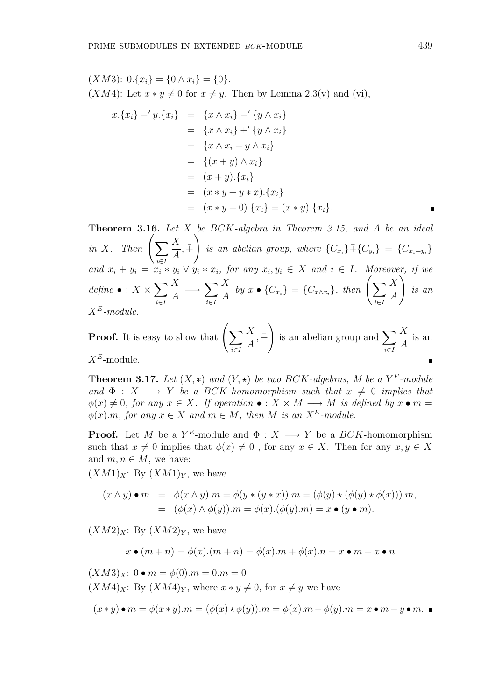$(XM3): 0.\{x_i\} = \{0 \wedge x_i\} = \{0\}.$  $(XM4)$ : Let  $x * y \neq 0$  for  $x \neq y$ . Then by Lemma 2.3(v) and (vi),

$$
x.\{x_i\} - 'y.\{x_i\} = \{x \wedge x_i\} - ' \{y \wedge x_i\} = \{x \wedge x_i\} + ' \{y \wedge x_i\} = \{x \wedge x_i + y \wedge x_i\} = \{(x + y) \wedge x_i\} = (x + y).\{x_i\} = (x * y + y * x).\{x_i\} = (x * y + 0).\{x_i\} = (x * y).\{x_i\}.
$$

Theorem 3.16. Let X be BCK-algebra in Theorem 3.15, and A be an ideal Theorem 3.16. I<br>in X. Then  $\left(\sum_{n=1}^{\infty} \frac{a_n}{n}\right)$ i∈I  $\boldsymbol{X}$ A  $, +$  $\mathbf{v}$ is an abelian group, where  $\{C_{x_i}\} + \{C_{y_i}\} = \{C_{x_i+y_i}\}$ and  $x_i + y_i = x_i * y_i \vee y_i * x_i$ , for any  $x_i, y_i \in X$  and  $i \in I$ . Moreover, if we  $define \bullet : X \times$  $\overline{\phantom{a}}$ i∈I  $\boldsymbol{X}$ A  $\rightarrow \sum$ i∈I  $\boldsymbol{X}$ for any  $x_i, y_i \in X$  and  $i \in I$ . More<br>  $\frac{X}{A}$  by  $x \bullet \{C_{x_i}\} = \{C_{x \wedge x_i}\},\$  then  $\left(\sum_{i \in I} \right)$ i∈I  $\boldsymbol{X}$ A  $\int$ is an  $X^E$ -module. !<br>}

**Proof.** It is easy to show that  $\left(\sum_{i=1}^{N} x_i\right)$ i∈I  $\boldsymbol{X}$ A  $, +$ is an abelian group and  $\sum$ i∈I  $\boldsymbol{X}$ A is an  $X^E$ -module.

**Theorem 3.17.** Let  $(X, *)$  and  $(Y, *)$  be two BCK-algebras, M be a  $Y^E$ -module and  $\Phi : X \longrightarrow Y$  be a BCK-homomorphism such that  $x \neq 0$  implies that  $\phi(x) \neq 0$ , for any  $x \in X$ . If operation  $\bullet : X \times M \longrightarrow M$  is defined by  $x \bullet m =$  $\phi(x)$ .m, for any  $x \in X$  and  $m \in M$ , then M is an  $X^E$ -module.

**Proof.** Let M be a  $Y^E$ -module and  $\Phi: X \longrightarrow Y$  be a  $BCK$ -homomorphism such that  $x \neq 0$  implies that  $\phi(x) \neq 0$ , for any  $x \in X$ . Then for any  $x, y \in X$ and  $m, n \in M$ , we have:

 $(XM1)_X$ : By  $(XM1)_Y$ , we have

$$
(x \wedge y) \bullet m = \phi(x \wedge y).m = \phi(y * (y * x)).m = (\phi(y) * (\phi(y) * \phi(x))).m,
$$
  
= 
$$
(\phi(x) \wedge \phi(y)).m = \phi(x).(\phi(y).m) = x \bullet (y \bullet m).
$$

 $(XM2)_X$ : By  $(XM2)_Y$ , we have

$$
x \bullet (m+n) = \phi(x).(m+n) = \phi(x).m + \phi(x).n = x \bullet m + x \bullet n
$$

 $(XM3)_X$ :  $0 \bullet m = \phi(0).m = 0.m = 0$  $(XM4)_X$ : By  $(XM4)_Y$ , where  $x * y \neq 0$ , for  $x \neq y$  we have

$$
(x * y) \bullet m = \phi(x * y).m = (\phi(x) * \phi(y)).m = \phi(x).m - \phi(y).m = x \bullet m - y \bullet m.
$$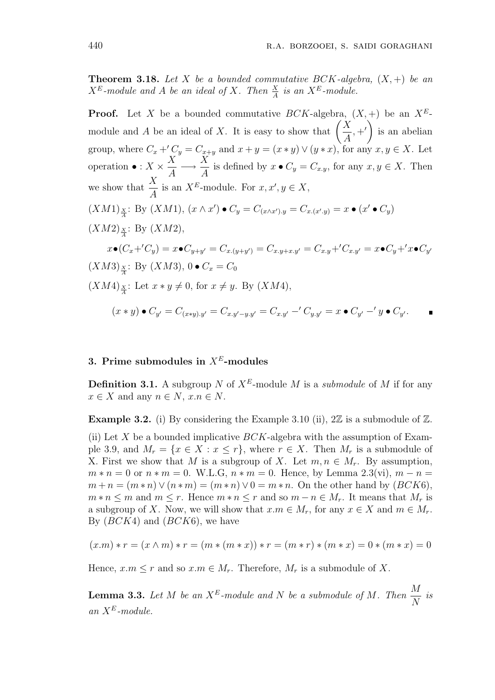**Theorem 3.18.** Let X be a bounded commutative BCK-algebra,  $(X, +)$  be an  $X^E$ -module and A be an ideal of X. Then  $\frac{X}{A}$  is an  $X^E$ -module.

**Proof.** Let X be a bounded commutative  $BCK$ -algebra,  $(X, +)$  be an  $X^E$ -**Proof.** Let X be a bounded commutative  $BCK$ -algebra<br>module and A be an ideal of X. It is easy to show that  $\left(\frac{1}{2}\right)$  $\boldsymbol{X}$ A  $,+^{\prime}$  is an abelian group, where  $C_x +'C_y = C_{x+y}$  and  $x + y = (x * y) \vee (y * x)$ , for any  $x, y \in X$ . Let operation  $\bullet : X \times$  $\boldsymbol{X}$ A −→  $\boldsymbol{X}$  $\frac{d}{A}$  is defined by  $x \bullet C_y = C_{x,y}$ , for any  $x, y \in X$ . Then we show that  $\frac{X}{4}$ A is an  $X^E$ -module. For  $x, x', y \in X$ ,  $(XM1)_{\frac{X}{A}}$ : By  $(XM1)$ ,  $(x \wedge x') \bullet C_y = C_{(x \wedge x'),y} = C_{x,(x',y)} = x \bullet (x' \bullet C_y)$  $(XM2)_{\frac{X}{A}}$ : By  $(XM2)$ ,  $x \bullet (C_x + 'C_y) = x \bullet C_{y+y'} = C_{x.(y+y')} = C_{x.y+x.y'} = C_{x.y} + 'C_{x.y'} = x \bullet C_y + 'x \bullet C_{y'}$  $(XM3)_{\frac{X}{4}}: \; {\rm By} \; (XM3), \, 0 \bullet C_x = C_0$  $(XM4)_{\frac{X}{A}}$ : Let  $x * y \neq 0$ , for  $x \neq y$ . By  $(XM4)$ ,  $(x * y) \bullet C_{y'} = C_{(x * y).y'} = C_{x.y'-y.y'} = C_{x.y'} - C_{y.y'} = x \bullet C_{y'} - C_{y'} \bullet C_{y'}.$ 

# 3. Prime submodules in  $X^E$ -modules

**Definition 3.1.** A subgroup N of  $X^E$ -module M is a *submodule* of M if for any  $x \in X$  and any  $n \in N$ ,  $x.n \in N$ .

**Example 3.2.** (i) By considering the Example 3.10 (ii),  $2\mathbb{Z}$  is a submodule of  $\mathbb{Z}$ .

(ii) Let X be a bounded implicative  $BCK$ -algebra with the assumption of Example 3.9, and  $M_r = \{x \in X : x \leq r\}$ , where  $r \in X$ . Then  $M_r$  is a submodule of X. First we show that M is a subgroup of X. Let  $m, n \in M_r$ . By assumption,  $m * n = 0$  or  $n * m = 0$ . W.L.G,  $n * m = 0$ . Hence, by Lemma 2.3(vi),  $m - n =$  $m + n = (m * n) \vee (n * m) = (m * n) \vee 0 = m * n$ . On the other hand by  $(BCK6)$ ,  $m * n \leq m$  and  $m \leq r$ . Hence  $m * n \leq r$  and so  $m - n \in M_r$ . It means that  $M_r$  is a subgroup of X. Now, we will show that  $x.m \in M_r$ , for any  $x \in X$  and  $m \in M_r$ . By  $(BCK4)$  and  $(BCK6)$ , we have

$$
(x.m)*r = (x \land m)*r = (m*(m*x))*r = (m*r)*(m*x) = 0*(m*x) = 0
$$

Hence,  $x.m \leq r$  and so  $x.m \in M_r$ . Therefore,  $M_r$  is a submodule of X.

**Lemma 3.3.** Let M be an  $X^E$ -module and N be a submodule of M. Then  $\frac{M}{X}$ N is an  $X^E$ -module.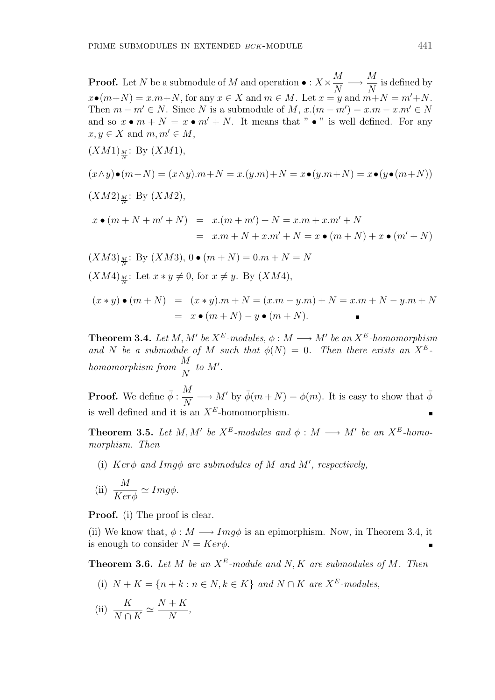$$
(XM1)
$$
 <sub>$\frac{M}{N}$</sub> : By  $(XM1)$ ,

$$
(x \wedge y) \bullet (m+N) = (x \wedge y).m+N = x.(y.m) + N = x \bullet (y.m+N) = x \bullet (y \bullet (m+N))
$$
  

$$
(XM2)_{\frac{M}{N}}: \text{By } (XM2),
$$

$$
x \bullet (m + N + m' + N) = x.(m + m') + N = x.m + x.m' + N
$$
  
=  $x.m + N + x.m' + N = x \bullet (m + N) + x \bullet (m' + N)$ 

$$
(XM3)_{\frac{M}{N}}: \text{By } (XM3), 0 \bullet (m+N) = 0.m + N = N
$$
  

$$
(XM4)_{\frac{M}{N}}: \text{Let } x * y \neq 0, \text{ for } x \neq y. \text{ By } (XM4),
$$

$$
(x * y) \bullet (m + N) = (x * y).m + N = (x.m - y.m) + N = x.m + N - y.m + N
$$
  
=  $x \bullet (m + N) - y \bullet (m + N)$ .

**Theorem 3.4.** Let M, M' be  $X^E$ -modules,  $\phi : M \longrightarrow M'$  be an  $X^E$ -homomorphism and N be a submodule of M such that  $\phi(N) = 0$ . Then there exists an  $X^E$ . homomorphism from  $\frac{M}{N}$ N  $to M'.$ 

**Proof.** We define  $\bar{\phi}$  :  $\frac{M}{N}$ N  $\longrightarrow M'$  by  $\bar{\phi}(m+N) = \phi(m)$ . It is easy to show that  $\bar{\phi}$ is well defined and it is an  $X^E$ -homomorphism.

**Theorem 3.5.** Let M, M' be  $X^E$ -modules and  $\phi : M \longrightarrow M'$  be an  $X^E$ -homomorphism. Then

(i) Ker $\phi$  and Img $\phi$  are submodules of M and M', respectively,

(ii) 
$$
\frac{M}{Ker\phi} \simeq Img\phi.
$$

Proof. (i) The proof is clear.

(ii) We know that,  $\phi : M \longrightarrow Imq\phi$  is an epimorphism. Now, in Theorem 3.4, it is enough to consider  $N = Ker \phi$ .

**Theorem 3.6.** Let M be an  $X^E$ -module and N, K are submodules of M. Then

(i)  $N + K = \{n + k : n \in N, k \in K\}$  and  $N \cap K$  are  $X^E$ -modules,

(ii) 
$$
\frac{K}{N \cap K} \simeq \frac{N + K}{N},
$$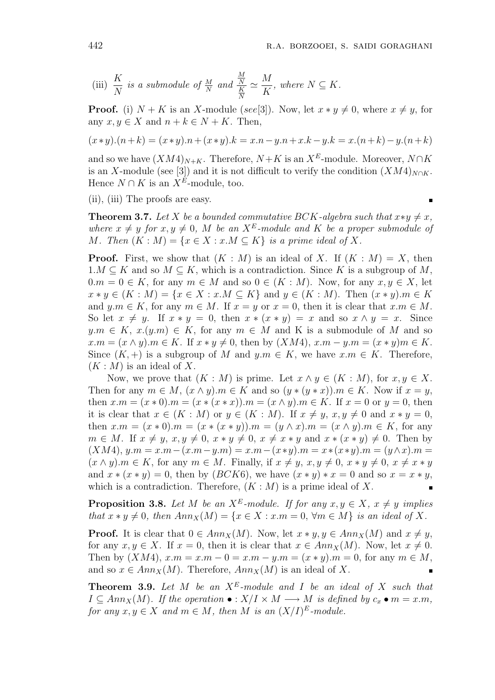$\blacksquare$ 

(iii) 
$$
\frac{K}{N}
$$
 is a submodule of  $\frac{M}{N}$  and  $\frac{\frac{M}{N}}{\frac{K}{N}} \simeq \frac{M}{K}$ , where  $N \subseteq K$ .

**Proof.** (i)  $N + K$  is an X-module (see[3]). Now, let  $x * y \neq 0$ , where  $x \neq y$ , for any  $x, y \in X$  and  $n + k \in N + K$ . Then,

$$
(x * y).(n+k) = (x * y).n + (x * y).k = x.n - y.n + x.k - y.k = x.(n+k) - y.(n+k)
$$

and so we have  $(XM4)_{N+K}$ . Therefore,  $N+K$  is an  $X^E$ -module. Moreover,  $N\cap K$ is an X-module (see [3]) and it is not difficult to verify the condition  $(XM4)_{N\cap K}$ . Hence  $N \cap K$  is an  $X^E$ -module, too.

(ii), (iii) The proofs are easy.

**Theorem 3.7.** Let X be a bounded commutative BCK-algebra such that  $x \ast y \neq x$ , where  $x \neq y$  for  $x, y \neq 0$ , M be an  $X^E$ -module and K be a proper submodule of M. Then  $(K : M) = \{x \in X : x.M \subseteq K\}$  is a prime ideal of X.

**Proof.** First, we show that  $(K : M)$  is an ideal of X. If  $(K : M) = X$ , then  $1.M \subseteq K$  and so  $M \subseteq K$ , which is a contradiction. Since K is a subgroup of M,  $0.m = 0 \in K$ , for any  $m \in M$  and so  $0 \in (K : M)$ . Now, for any  $x, y \in X$ , let  $x * y \in (K : M) = \{x \in X : x.M \subseteq K\}$  and  $y \in (K : M)$ . Then  $(x * y) . m \in K$ and  $y.m \in K$ , for any  $m \in M$ . If  $x = y$  or  $x = 0$ , then it is clear that  $x.m \in M$ . So let  $x \neq y$ . If  $x * y = 0$ , then  $x * (x * y) = x$  and so  $x \wedge y = x$ . Since  $y.m \in K$ ,  $x.(y.m) \in K$ , for any  $m \in M$  and K is a submodule of M and so  $x.m = (x \wedge y).m \in K$ . If  $x * y \neq 0$ , then by  $(XM4)$ ,  $x.m - y.m = (x * y)m \in K$ . Since  $(K, +)$  is a subgroup of M and  $y.m \in K$ , we have  $x.m \in K$ . Therefore,  $(K : M)$  is an ideal of X.

Now, we prove that  $(K : M)$  is prime. Let  $x \wedge y \in (K : M)$ , for  $x, y \in X$ . Then for any  $m \in M$ ,  $(x \wedge y)$ .  $m \in K$  and so  $(y * (y * x))$ .  $m \in K$ . Now if  $x = y$ , then  $x.m = (x * 0) \cdot m = (x * (x * x)) \cdot m = (x \wedge y) \cdot m \in K$ . If  $x = 0$  or  $y = 0$ , then it is clear that  $x \in (K : M)$  or  $y \in (K : M)$ . If  $x \neq y$ ,  $x, y \neq 0$  and  $x * y = 0$ , then  $x.m = (x * 0).m = (x * (x * y)).m = (y \wedge x).m = (x \wedge y).m \in K$ , for any  $m \in M$ . If  $x \neq y$ ,  $x, y \neq 0$ ,  $x * y \neq 0$ ,  $x \neq x * y$  and  $x * (x * y) \neq 0$ . Then by (XM4), y.m = x.m−(x.m−y.m) = x.m−(x∗y).m = x∗(x∗y).m = (y∧x).m =  $(x \wedge y)$ .  $m \in K$ , for any  $m \in M$ . Finally, if  $x \neq y$ ,  $x, y \neq 0$ ,  $x * y \neq 0$ ,  $x \neq x * y$ and  $x * (x * y) = 0$ , then by  $(BCK6)$ , we have  $(x * y) * x = 0$  and so  $x = x * y$ , which is a contradiction. Therefore,  $(K : M)$  is a prime ideal of X.

**Proposition 3.8.** Let M be an  $X^E$ -module. If for any  $x, y \in X$ ,  $x \neq y$  implies that  $x * y \neq 0$ , then  $Ann_X(M) = \{x \in X : x.m = 0, \forall m \in M\}$  is an ideal of X.

**Proof.** It is clear that  $0 \in Ann_X(M)$ . Now, let  $x * y, y \in Ann_X(M)$  and  $x \neq y$ , for any  $x, y \in X$ . If  $x = 0$ , then it is clear that  $x \in Ann_X(M)$ . Now, let  $x \neq 0$ . Then by  $(XM4)$ ,  $x.m = x.m - 0 = x.m - y.m = (x * y).m = 0$ , for any  $m \in M$ , and so  $x \in Ann_X(M)$ . Therefore,  $Ann_X(M)$  is an ideal of X.

**Theorem 3.9.** Let M be an  $X^E$ -module and I be an ideal of X such that  $I \subseteq Ann_X(M)$ . If the operation  $\bullet : X/I \times M \longrightarrow M$  is defined by  $c_x \bullet m = x.m$ , for any  $x, y \in X$  and  $m \in M$ , then M is an  $(X/I)^E$ -module.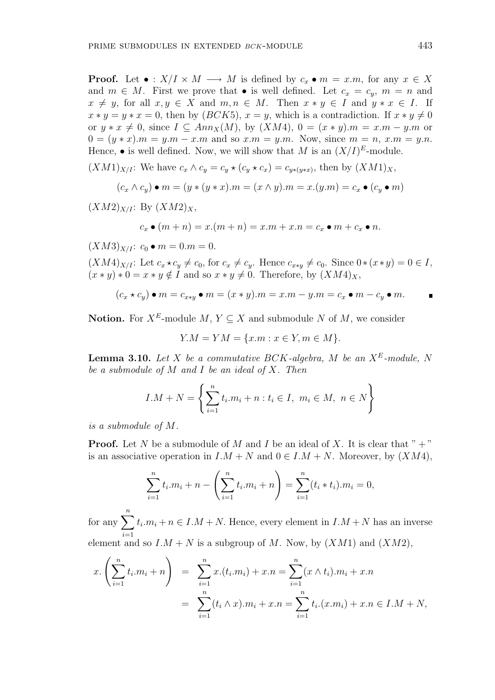**Proof.** Let  $\bullet: X/I \times M \longrightarrow M$  is defined by  $c_x \bullet m = x.m$ , for any  $x \in X$ and  $m \in M$ . First we prove that • is well defined. Let  $c_x = c_y$ ,  $m = n$  and  $x \neq y$ , for all  $x, y \in X$  and  $m, n \in M$ . Then  $x * y \in I$  and  $y * x \in I$ . If  $x * y = y * x = 0$ , then by  $(BCK5)$ ,  $x = y$ , which is a contradiction. If  $x * y \neq 0$ or  $y * x \neq 0$ , since  $I \subseteq Ann_X(M)$ , by  $(XM4)$ ,  $0 = (x * y)$ . $m = x.m - y.m$  or  $0 = (y * x) \cdot m = y \cdot m - x \cdot m$  and so  $x \cdot m = y \cdot m$ . Now, since  $m = n$ ,  $x \cdot m = y \cdot n$ . Hence, • is well defined. Now, we will show that M is an  $(X/I)^E$ -module.

 $(XM1)_{X/I}$ : We have  $c_x \wedge c_y = c_y \star (c_y \star c_x) = c_{y*(y*x)}$ , then by  $(XM1)_X$ ,

$$
(c_x \wedge c_y) \bullet m = (y * (y * x).m = (x \wedge y).m = x.(y.m) = c_x \bullet (c_y \bullet m)
$$

 $(XM2)_{X/I}$ : By  $(XM2)_X$ ,

$$
c_x \bullet (m+n) = x.(m+n) = x.m + x.n = c_x \bullet m + c_x \bullet n.
$$

 $(XM3)_{X/I}$ :  $c_0 \bullet m = 0.m = 0.$ 

 $(XM4)_{X/I}$ : Let  $c_x \star c_y \neq c_0$ , for  $c_x \neq c_y$ . Hence  $c_{x*y} \neq c_0$ . Since  $0 \star (x*y) = 0 \in I$ ,  $(x * y) * 0 = x * y \notin I$  and so  $x * y \neq 0$ . Therefore, by  $(XM4)_X$ ,

$$
(c_x \star c_y) \bullet m = c_{x \star y} \bullet m = (x \star y).m = x.m - y.m = c_x \bullet m - c_y \bullet m.
$$

**Notion.** For  $X^E$ -module M,  $Y \subseteq X$  and submodule N of M, we consider

$$
Y.M = YM = \{x.m : x \in Y, m \in M\}.
$$

**Lemma 3.10.** Let X be a commutative BCK-algebra, M be an  $X^E$ -module, N be a submodule of  $M$  and  $I$  be an ideal of  $X$ . Then

$$
I.M + N = \left\{ \sum_{i=1}^{n} t_i.m_i + n : t_i \in I, \ m_i \in M, \ n \in N \right\}
$$

is a submodule of M.

**Proof.** Let N be a submodule of M and I be an ideal of X. It is clear that " $+$ " is an associative operation in  $I.M + N$  and  $0 \in I.M + N$ . Moreover, by  $(XM4)$ ,

$$
\sum_{i=1}^{n} t_i \cdot m_i + n - \left(\sum_{i=1}^{n} t_i \cdot m_i + n\right) = \sum_{i=1}^{n} (t_i * t_i) \cdot m_i = 0,
$$

for any  $\sum_{n=1}^n$  $i=1$  $t_i \cdot m_i + n \in I \cdot M + N$ . Hence, every element in  $I \cdot M + N$  has an inverse element and so  $I.M + N$  is a subgroup of M. Now, by  $(XM1)$  and  $(XM2)$ ,

$$
x. \left(\sum_{i=1}^{n} t_i \cdot m_i + n\right) = \sum_{i=1}^{n} x \cdot (t_i \cdot m_i) + x \cdot n = \sum_{i=1}^{n} (x \wedge t_i) \cdot m_i + x \cdot n
$$

$$
= \sum_{i=1}^{n} (t_i \wedge x) \cdot m_i + x \cdot n = \sum_{i=1}^{n} t_i \cdot (x \cdot m_i) + x \cdot n \in I \cdot M + N,
$$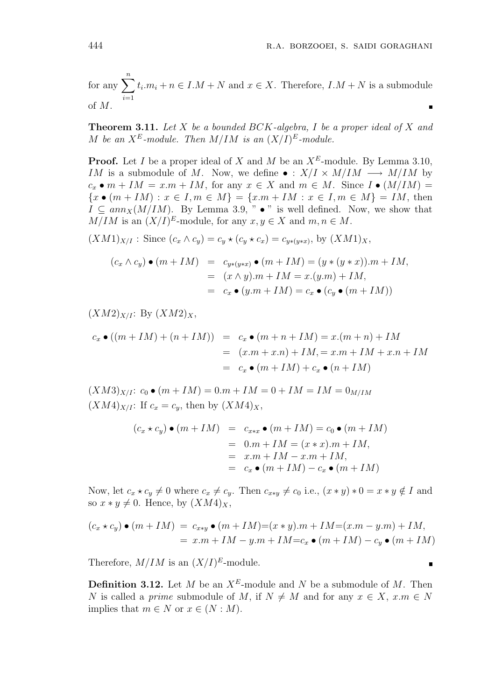for any  $\sum_{n=1}^n$  $i=1$  $t_i.m_i + n \in I.M + N$  and  $x \in X$ . Therefore,  $I.M + N$  is a submodule of M.

**Theorem 3.11.** Let X be a bounded BCK-algebra, I be a proper ideal of X and M be an  $X^E$ -module. Then  $M/IM$  is an  $(X/I)^E$ -module.

**Proof.** Let I be a proper ideal of X and M be an  $X^E$ -module. By Lemma 3.10, IM is a submodule of M. Now, we define  $\bullet : X/I \times M/IM \longrightarrow M/IM$  by  $c_x \bullet m + IM = x.m + IM$ , for any  $x \in X$  and  $m \in M$ . Since  $I \bullet (M/IM) =$  ${x \bullet (m + IM) : x \in I, m \in M} = {x \cdot m + IM : x \in I, m \in M} = IM$ , then  $I \subseteq ann_X(M/IM)$ . By Lemma 3.9, " • " is well defined. Now, we show that  $M/IM$  is an  $(X/I)^E$ -module, for any  $x, y \in X$  and  $m, n \in M$ .

 $(XM1)_{X/I}$ : Since  $(c_x \wedge c_y) = c_y \star (c_y \star c_x) = c_{y*(y*x)}$ , by  $(XM1)_X$ ,

$$
(c_x \wedge c_y) \bullet (m + IM) = c_{y*(y*x)} \bullet (m + IM) = (y * (y * x)).m + IM,
$$
  

$$
= (x \wedge y).m + IM = x.(y.m) + IM,
$$
  

$$
= c_x \bullet (y.m + IM) = c_x \bullet (c_y \bullet (m + IM))
$$

 $(XM2)_{X/I}$ : By  $(XM2)_X$ ,

$$
c_x \bullet ((m + IM) + (n + IM)) = c_x \bullet (m + n + IM) = x.(m + n) + IM
$$
  
= 
$$
(x.m + x.n) + IM = x.m + IM + x.n + IM
$$
  
= 
$$
c_x \bullet (m + IM) + c_x \bullet (n + IM)
$$

 $(XM3)_{X/I}$ :  $c_0 \bullet (m + IM) = 0.m + IM = 0 + IM = IM = 0_{M/IM}$  $(XM4)_{X/I}$ : If  $c_x = c_y$ , then by  $(XM4)_X$ ,

$$
(c_x \star c_y) \bullet (m + IM) = c_{x*x} \bullet (m + IM) = c_0 \bullet (m + IM)
$$
  
= 0.m + IM = (x \* x).m + IM,  
= x.m + IM - x.m + IM,  
= c\_x \bullet (m + IM) - c\_x \bullet (m + IM)

Now, let  $c_x \star c_y \neq 0$  where  $c_x \neq c_y$ . Then  $c_{x \star y} \neq c_0$  i.e.,  $(x * y) * 0 = x * y \notin I$  and so  $x * y \neq 0$ . Hence, by  $(XM4)_X$ ,

$$
(c_x \star c_y) \bullet (m + IM) = c_{x \star y} \bullet (m + IM) = (x * y).m + IM = (x.m - y.m) + IM,
$$
  
= x.m + IM - y.m + IM = c\_x \bullet (m + IM) - c\_y \bullet (m + IM)

Therefore,  $M/IM$  is an  $(X/I)^E$ -module.

**Definition 3.12.** Let M be an  $X^E$ -module and N be a submodule of M. Then N is called a prime submodule of M, if  $N \neq M$  and for any  $x \in X$ ,  $x \in N$ implies that  $m \in N$  or  $x \in (N : M)$ .

$$
f_{\rm{max}}
$$

 $\blacksquare$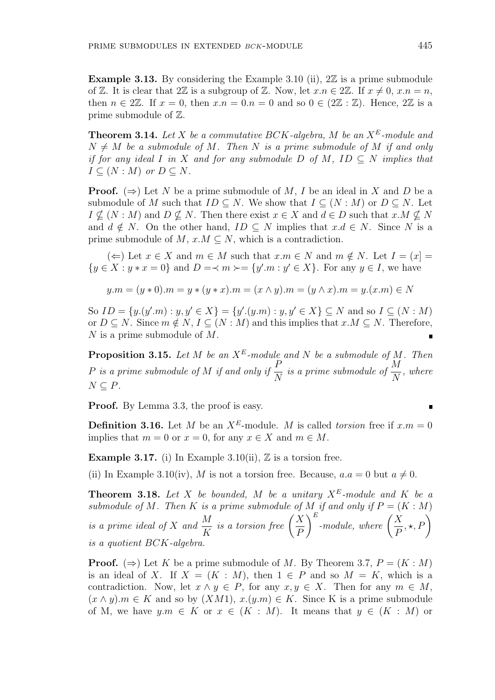Example 3.13. By considering the Example 3.10 (ii),  $2\mathbb{Z}$  is a prime submodule of Z. It is clear that  $2\mathbb{Z}$  is a subgroup of Z. Now, let  $x.n \in 2\mathbb{Z}$ . If  $x \neq 0, x.n = n$ , then  $n \in 2\mathbb{Z}$ . If  $x = 0$ , then  $x.n = 0.n = 0$  and so  $0 \in (2\mathbb{Z} : \mathbb{Z})$ . Hence,  $2\mathbb{Z}$  is a prime submodule of Z.

**Theorem 3.14.** Let X be a commutative BCK-algebra, M be an  $X^E$ -module and  $N \neq M$  be a submodule of M. Then N is a prime submodule of M if and only if for any ideal I in X and for any submodule D of M, ID  $\subseteq$  N implies that  $I \subseteq (N : M)$  or  $D \subseteq N$ .

**Proof.** ( $\Rightarrow$ ) Let N be a prime submodule of M, I be an ideal in X and D be a submodule of M such that  $ID \subseteq N$ . We show that  $I \subseteq (N : M)$  or  $D \subseteq N$ . Let  $I \nsubseteq (N : M)$  and  $D \nsubseteq N$ . Then there exist  $x \in X$  and  $d \in D$  such that  $x.M \nsubseteq N$ and  $d \notin N$ . On the other hand,  $ID \subseteq N$  implies that  $x.d \in N$ . Since N is a prime submodule of M,  $x.M \subseteq N$ , which is a contradiction.

(←) Let  $x \in X$  and  $m \in M$  such that  $x.m \in N$  and  $m \notin N$ . Let  $I = (x] =$  $\{y \in X : y * x = 0\}$  and  $D = \langle m \rangle = \{y'.m : y' \in X\}$ . For any  $y \in I$ , we have

$$
y.m = (y * 0).m = y * (y * x).m = (x \wedge y).m = (y \wedge x).m = y.(x.m) \in N
$$

So  $ID = \{y.(y'm) : y, y' \in X\} = \{y'.(y.m) : y, y' \in X\} \subseteq N$  and so  $I \subseteq (N : M)$ or  $D \subseteq N$ . Since  $m \notin N$ ,  $I \subseteq (N : M)$  and this implies that  $x.M \subseteq N$ . Therefore, N is a prime submodule of M.

**Proposition 3.15.** Let  $M$  be an  $X^E$ -module and  $N$  be a submodule of  $M$ . Then P is a prime submodule of M if and only if  $\frac{P}{P}$ N is a prime submodule of  $\frac{M}{N}$ N , where  $N \subseteq P$ .

Proof. By Lemma 3.3, the proof is easy.

**Definition 3.16.** Let M be an  $X^E$ -module. M is called torsion free if  $x.m = 0$ implies that  $m = 0$  or  $x = 0$ , for any  $x \in X$  and  $m \in M$ .

**Example 3.17.** (i) In Example 3.10(ii),  $\mathbb{Z}$  is a torsion free.

(ii) In Example 3.10(iv), M is not a torsion free. Because,  $a.a = 0$  but  $a \neq 0$ .

**Theorem 3.18.** Let X be bounded, M be a unitary  $X^E$ -module and K be a submodule of M. Then K is a prime submodule of M if and only if  $P = (K : M)$ is a prime ideal of X and  $\frac{M}{V}$ K  $\int$  is a torsion free  $\int$  $\boldsymbol{X}$ P  $\int_{0}^{E}$ -module, where  $\int_{0}^{E}$  $\boldsymbol{X}$ P  $\left(\frac{N}{N}, \frac{M}{P}\right)$ is a quotient BCK-algebra.

**Proof.** ( $\Rightarrow$ ) Let K be a prime submodule of M. By Theorem 3.7,  $P = (K : M)$ is an ideal of X. If  $X = (K : M)$ , then  $1 \in P$  and so  $M = K$ , which is a contradiction. Now, let  $x \wedge y \in P$ , for any  $x, y \in X$ . Then for any  $m \in M$ ,  $(x \wedge y)$ .  $m \in K$  and so by  $(XM1)$ ,  $x.(y.m) \in K$ . Since K is a prime submodule of M, we have  $y.m \in K$  or  $x \in (K : M)$ . It means that  $y \in (K : M)$  or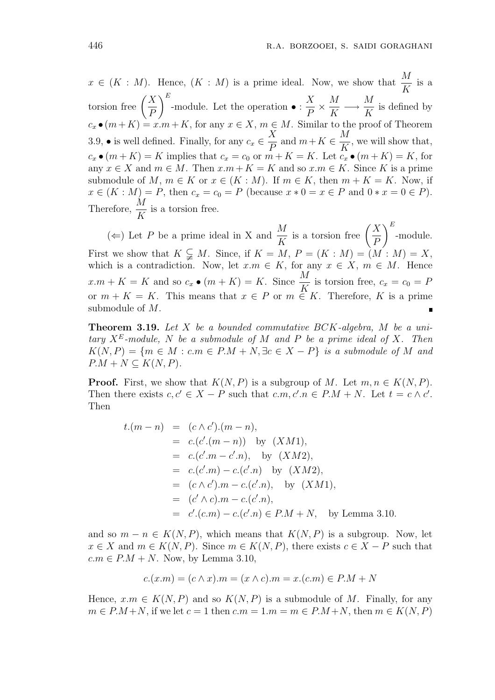$x \in (K : M)$ . Hence,  $(K : M)$  is a prime ideal. Now, we show that  $\frac{M}{K}$ K is a  $\frac{1}{100}$  torsion free  $\left($  $\boldsymbol{X}$ P  $E$ -module. Let the operation • :  $\boldsymbol{X}$ P × M K −→ M K is defined by  $c_x \bullet (m+K) = x.m + K$ , for any  $x \in X$ ,  $m \in M$ . Similar to the proof of Theorem 3.9, • is well defined. Finally, for any  $c_x \in$  $\boldsymbol{X}$ P and  $m+K \in$ M K , we will show that,  $c_x \bullet (m+K) = K$  implies that  $c_x = c_0$  or  $m+K = K$ . Let  $c_x \bullet (m+K) = K$ , for any  $x \in X$  and  $m \in M$ . Then  $x.m + K = K$  and so  $x.m \in K$ . Since K is a prime submodule of M,  $m \in K$  or  $x \in (K : M)$ . If  $m \in K$ , then  $m + K = K$ . Now, if  $x \in (K : M) = P$ , then  $c_x = c_0 = P$  (because  $x * 0 = x \in P$  and  $0 * x = 0 \in P$ ). Therefore,  $\frac{M}{K}$ K is a torsion free.

 $(\Leftarrow)$  Let P be a prime ideal in X and  $\frac{M}{N}$ K is a torsion free  $\Big($  $\boldsymbol{X}$ P  $E$ -module. First we show that  $K \subsetneq M$ . Since, if  $K = M$ ,  $P = (K : M) = (M : M) = X$ , which is a contradiction. Now, let  $x.m \in K$ , for any  $x \in X$ ,  $m \in M$ . Hence  $x.m + K = K$  and so  $c_x \bullet (m + K) = K$ . Since  $\frac{M}{K}$  is torsion free,  $c_x = c_0 = F$ or  $m + K = K$ . This means that  $x \in P$  or  $m \in K$ . Therefore, K is a prime submodule of M.

**Theorem 3.19.** Let  $X$  be a bounded commutative  $BCK$ -algebra,  $M$  be a unitary  $X^E$ -module, N be a submodule of M and P be a prime ideal of X. Then  $K(N, P) = \{m \in M : c.m \in P.M + N, \exists c \in X - P\}$  is a submodule of M and  $P.M + N \subseteq K(N, P).$ 

**Proof.** First, we show that  $K(N, P)$  is a subgroup of M. Let  $m, n \in K(N, P)$ . Then there exists  $c, c' \in X - P$  such that  $c.m, c'.n \in P.M + N$ . Let  $t = c \wedge c'$ . Then

$$
t.(m - n) = (c \wedge c').(m - n),
$$
  
\n
$$
= c.(c'.(m - n)) \text{ by } (XM1),
$$
  
\n
$$
= c.(c'.m - c'.n), \text{ by } (XM2),
$$
  
\n
$$
= c.(c'.m) - c.(c'.n) \text{ by } (XM2),
$$
  
\n
$$
= (c \wedge c').m - c.(c'.n), \text{ by } (XM1),
$$
  
\n
$$
= (c' \wedge c).m - c.(c'.n),
$$
  
\n
$$
= c'.(c.m) - c.(c'.n) \in P.M + N, \text{ by Lemma 3.10.}
$$

and so  $m - n \in K(N, P)$ , which means that  $K(N, P)$  is a subgroup. Now, let  $x \in X$  and  $m \in K(N, P)$ . Since  $m \in K(N, P)$ , there exists  $c \in X - P$  such that  $c.m \in P.M + N$ . Now, by Lemma 3.10,

$$
c.(x.m) = (c \wedge x).m = (x \wedge c).m = x.(c.m) \in P.M + N
$$

Hence,  $x.m \in K(N, P)$  and so  $K(N, P)$  is a submodule of M. Finally, for any  $m \in P.M + N$ , if we let  $c = 1$  then  $c.m = 1.m = m \in P.M + N$ , then  $m \in K(N, P)$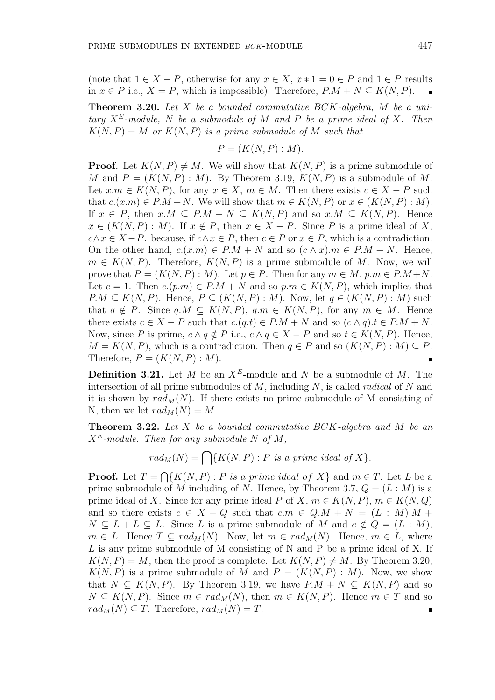(note that  $1 \in X - P$ , otherwise for any  $x \in X$ ,  $x * 1 = 0 \in P$  and  $1 \in P$  results in  $x \in P$  i.e.,  $X = P$ , which is impossible). Therefore,  $P.M + N \subseteq K(N, P)$ .

**Theorem 3.20.** Let  $X$  be a bounded commutative  $BCK$ -algebra,  $M$  be a unitary  $X^E$ -module, N be a submodule of M and P be a prime ideal of X. Then  $K(N, P) = M$  or  $K(N, P)$  is a prime submodule of M such that

$$
P = (K(N, P) : M).
$$

**Proof.** Let  $K(N, P) \neq M$ . We will show that  $K(N, P)$  is a prime submodule of M and  $P = (K(N, P) : M)$ . By Theorem 3.19,  $K(N, P)$  is a submodule of M. Let  $x.m \in K(N, P)$ , for any  $x \in X$ ,  $m \in M$ . Then there exists  $c \in X - P$  such that  $c.(x.m) \in P.M + N$ . We will show that  $m \in K(N, P)$  or  $x \in (K(N, P) : M)$ . If  $x \in P$ , then  $x.M \subseteq P.M + N \subseteq K(N, P)$  and so  $x.M \subseteq K(N, P)$ . Hence  $x \in (K(N, P) : M)$ . If  $x \notin P$ , then  $x \in X - P$ . Since P is a prime ideal of X,  $c \land x \in X - P$ . because, if  $c \land x \in P$ , then  $c \in P$  or  $x \in P$ , which is a contradiction. On the other hand,  $c.(x.m) \in P.M + N$  and so  $(c \wedge x).m \in P.M + N$ . Hence,  $m \in K(N, P)$ . Therefore,  $K(N, P)$  is a prime submodule of M. Now, we will prove that  $P = (K(N, P) : M)$ . Let  $p \in P$ . Then for any  $m \in M$ ,  $p.m \in P.M+N$ . Let  $c = 1$ . Then  $c(p,m) \in P.M + N$  and so  $p.m \in K(N, P)$ , which implies that  $P.M \subseteq K(N, P)$ . Hence,  $P \subseteq (K(N, P) : M)$ . Now, let  $q \in (K(N, P) : M)$  such that  $q \notin P$ . Since  $q.M \subseteq K(N, P)$ ,  $q.m \in K(N, P)$ , for any  $m \in M$ . Hence there exists  $c \in X - P$  such that  $c(q,t) \in P.M + N$  and so  $(c \wedge q).t \in P.M + N$ . Now, since P is prime,  $c \wedge q \notin P$  i.e.,  $c \wedge q \in X - P$  and so  $t \in K(N, P)$ . Hence,  $M = K(N, P)$ , which is a contradiction. Then  $q \in P$  and so  $(K(N, P) : M) \subseteq P$ . Therefore,  $P = (K(N, P) : M)$ .

**Definition 3.21.** Let M be an  $X^E$ -module and N be a submodule of M. The intersection of all prime submodules of  $M$ , including  $N$ , is called *radical* of  $N$  and it is shown by  $rad_M(N)$ . If there exists no prime submodule of M consisting of N, then we let  $rad_M(N) = M$ .

**Theorem 3.22.** Let  $X$  be a bounded commutative  $BCK$ -algebra and  $M$  be an  $X^E$ -module. Then for any submodule N of M,

$$
rad_M(N) = \bigcap \{ K(N, P) : P \text{ is a prime ideal of } X \}.
$$

**Proof.** Let  $T =$  $\overline{a}$  $\{K(N, P) : P \text{ is a prime ideal of } X\}$  and  $m \in T$ . Let L be a prime submodule of M including of N. Hence, by Theorem 3.7,  $Q = (L : M)$  is a prime ideal of X. Since for any prime ideal P of X,  $m \in K(N, P)$ ,  $m \in K(N, Q)$ and so there exists  $c \in X - Q$  such that  $c.m \in Q.M + N = (L : M).M +$  $N \subseteq L + L \subseteq L$ . Since L is a prime submodule of M and  $c \notin Q = (L : M)$ ,  $m \in L$ . Hence  $T \subseteq rad_M(N)$ . Now, let  $m \in rad_M(N)$ . Hence,  $m \in L$ , where L is any prime submodule of M consisting of N and P be a prime ideal of X. If  $K(N, P) = M$ , then the proof is complete. Let  $K(N, P) \neq M$ . By Theorem 3.20,  $K(N, P)$  is a prime submodule of M and  $P = (K(N, P) : M)$ . Now, we show that  $N \subseteq K(N, P)$ . By Theorem 3.19, we have  $P.M + N \subseteq K(N, P)$  and so  $N \subseteq K(N, P)$ . Since  $m \in rad_M(N)$ , then  $m \in K(N, P)$ . Hence  $m \in T$  and so  $rad_M(N) \subseteq T$ . Therefore,  $rad_M(N) = T$ .